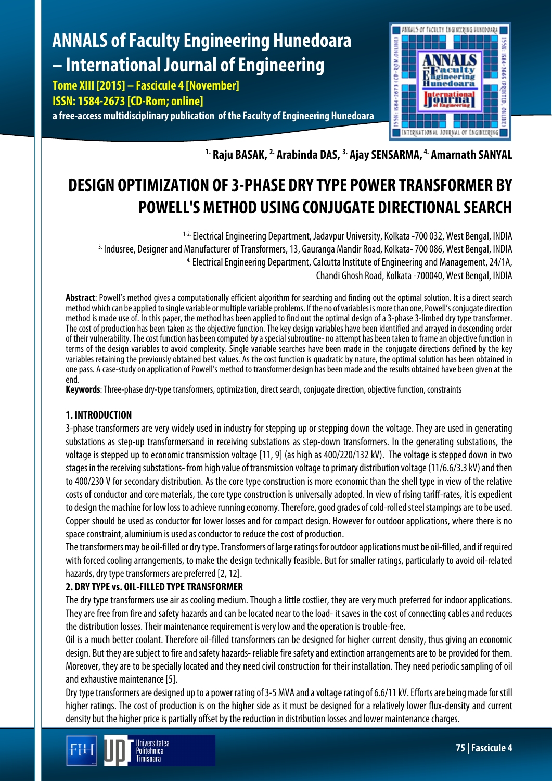# **ANNALS of Faculty Engineering Hunedoara – International Journal of Engineering**

**Tome XIII [2015] – Fascicule 4 [November]**

**ISSN: 1584-2673 [CD-Rom; online]**

**a free-access multidisciplinary publication of the Faculty of Engineering Hunedoara**



**1. Raju BASAK, 2. Arabinda DAS, 3. Ajay SENSARMA, 4. Amarnath SANYAL**

## **DESIGN OPTIMIZATION OF 3-PHASE DRY TYPE POWER TRANSFORMER BY POWELL'S METHOD USING CONJUGATE DIRECTIONAL SEARCH**

<sup>1-2.</sup> Electrical Engineering Department, Jadavpur University, Kolkata -700 032, West Bengal, INDIA <sup>3.</sup> Indusree, Designer and Manufacturer of Transformers, 13, Gauranga Mandir Road, Kolkata-700 086, West Bengal, INDIA 4.Electrical Engineering Department, Calcutta Institute of Engineering and Management, 24/1A, Chandi Ghosh Road, Kolkata -700040, West Bengal, INDIA

**Abstract**: Powell's method gives a computationally efficient algorithm for searching and finding out the optimal solution. It is a direct search method which can be applied to single variable or multiple variable problems. If the no of variables is more than one, Powell's conjugate direction method is made use of. In this paper, the method has been applied to find out the optimal design of a 3-phase 3-limbed dry type transformer. The cost of production has been taken as the objective function. The key design variables have been identified and arrayed in descending order of their vulnerability. The cost function has been computed by a special subroutine- no attempt has been taken to frame an objective function in terms of the design variables to avoid complexity. Single variable searches have been made in the conjugate directions defined by the key variables retaining the previously obtained best values. As the cost function is quadratic by nature, the optimal solution has been obtained in one pass. A case-study on application of Powell's method to transformer design has been made and the results obtained have been given at the end.

**Keywords**: Three-phase dry-type transformers, optimization, direct search, conjugate direction, objective function, constraints

### **1. INTRODUCTION**

3-phase transformers are very widely used in industry for stepping up or stepping down the voltage. They are used in generating substations as step-up transformersand in receiving substations as step-down transformers. In the generating substations, the voltage is stepped up to economic transmission voltage [11, 9] (as high as 400/220/132 kV). The voltage is stepped down in two stages in the receiving substations- from high value of transmission voltage to primary distribution voltage (11/6.6/3.3 kV) and then to 400/230 V for secondary distribution. As the core type construction is more economic than the shell type in view of the relative costs of conductor and core materials, the core type construction is universally adopted. In view of rising tariff-rates, it is expedient to design the machine for low loss to achieve running economy. Therefore, good grades of cold-rolled steel stampings are to be used. Copper should be used as conductor for lower losses and for compact design. However for outdoor applications, where there is no space constraint, aluminium is used as conductor to reduce the cost of production.

The transformers may be oil-filled or dry type. Transformers of large ratings for outdoor applications must be oil-filled, and if required with forced cooling arrangements, to make the design technically feasible. But for smaller ratings, particularly to avoid oil-related hazards, dry type transformers are preferred [2, 12].

## **2. DRY TYPE vs. OIL-FILLED TYPE TRANSFORMER**

The dry type transformers use air as cooling medium. Though a little costlier, they are very much preferred for indoor applications. They are free from fire and safety hazards and can be located near to the load- it saves in the cost of connecting cables and reduces the distribution losses. Their maintenance requirement is very low and the operation is trouble-free.

Oil is a much better coolant. Therefore oil-filled transformers can be designed for higher current density, thus giving an economic design. But they are subject to fire and safety hazards- reliable fire safety and extinction arrangements are to be provided for them. Moreover, they are to be specially located and they need civil construction for their installation. They need periodic sampling of oil and exhaustive maintenance [5].

Dry type transformers are designed up to a power rating of 3-5 MVA and a voltage rating of 6.6/11 kV. Efforts are being made for still higher ratings. The cost of production is on the higher side as it must be designed for a relatively lower flux-density and current density but the higher price is partially offset by the reduction in distribution losses and lower maintenance charges.

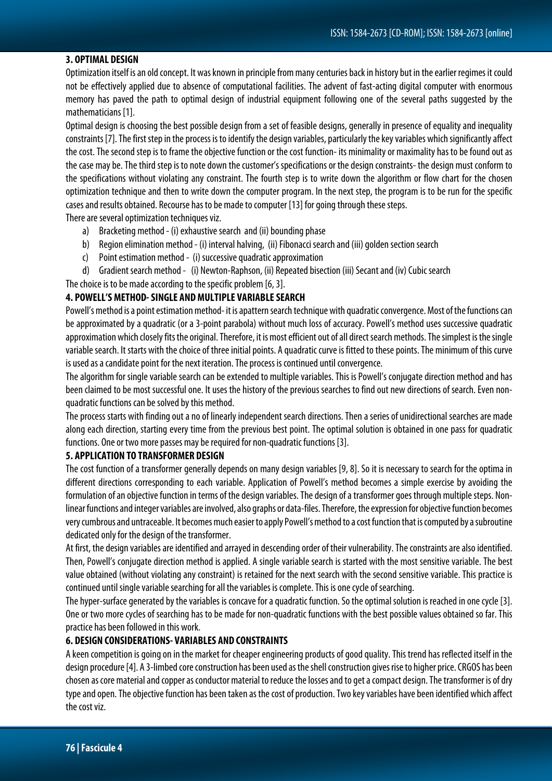#### **3. OPTIMAL DESIGN**

Optimization itself is an old concept. It was known in principle frommany centuries back in history but in the earlier regimes it could not be effectively applied due to absence of computational facilities. The advent of fast-acting digital computer with enormous memory has paved the path to optimal design of industrial equipment following one of the several paths suggested by the mathematicians [1].

Optimal design is choosing the best possible design from a set of feasible designs, generally in presence of equality and inequality constraints [7]. The first step in the process is to identify the design variables, particularly the key variables which significantly affect the cost. The second step is to frame the objective function or the cost function- its minimality or maximality has to be found out as the case may be. The third step is to note down the customer's specifications or the design constraints- the design must conform to the specifications without violating any constraint. The fourth step is to write down the algorithm or flow chart for the chosen optimization technique and then to write down the computer program. In the next step, the program is to be run for the specific cases and results obtained. Recourse has to be made to computer [13] for going through these steps.

There are several optimization techniques viz.

- a) Bracketing method- (i) exhaustive search and (ii) bounding phase
- b) Region elimination method- (i) interval halving, (ii) Fibonacci search and (iii) golden section search
- c) Point estimation method- (i) successive quadratic approximation
- d) Gradient search method- (i) Newton-Raphson, (ii) Repeated bisection (iii) Secant and (iv) Cubic search

The choice is to be made according to the specific problem [6, 3].

#### **4. POWELL'S METHOD-SINGLE AND MULTIPLE VARIABLE SEARCH**

Powell's method is a point estimation method-it is apattern search technique with quadratic convergence. Most of the functions can be approximated by a quadratic (or a 3-point parabola) without much loss of accuracy. Powell's method uses successive quadratic approximation which closely fits the original. Therefore, it is most efficient out of all direct search methods. The simplest is the single variable search. It starts with the choice of three initial points. A quadratic curve is fitted to these points.The minimum of this curve is used as a candidate point for the next iteration. The process is continued until convergence.

The algorithm for single variable search can be extended to multiple variables. This is Powell's conjugate direction method and has been claimed to be most successful one. It uses the history of the previous searches to find out new directions of search. Even nonquadratic functions can be solved by this method.

The process starts with finding out a no of linearly independent search directions. Then a series of unidirectional searches are made along each direction, starting every time from the previous best point. The optimal solution is obtained in one pass for quadratic functions. One or two more passes may be required for non-quadratic functions [3].

#### **5. APPLICATION TO TRANSFORMER DESIGN**

The cost function of a transformer generally depends on many design variables [9, 8]. So it is necessary to search for the optima in different directions corresponding to each variable. Application of Powell's method becomes a simple exercise by avoiding the formulation of an objective function in terms of the design variables. The design of a transformer goes through multiple steps. Nonlinear functions and integer variables are involved, also graphs or data-files. Therefore, the expression for objective function becomes very cumbrous and untraceable. It becomes much easier to apply Powell's method to a cost function that is computed by a subroutine dedicated only for the design of the transformer.

At first, the design variables are identified and arrayed in descending order of their vulnerability. The constraints are also identified. Then, Powell's conjugate direction method is applied. A single variable search is started with the most sensitive variable. The best value obtained (without violating any constraint) is retained for the next search with the second sensitive variable. This practice is continued until single variable searching for all the variables is complete. This is one cycle of searching.

The hyper-surface generated by the variables is concave for a quadratic function. So the optimal solution is reached in one cycle [3]. One or two more cycles of searching has to be made for non-quadratic functions with the best possible values obtained so far. This practice has been followed in this work.

#### **6. DESIGN CONSIDERATIONS- VARIABLES AND CONSTRAINTS**

A keen competition is going on in the market for cheaper engineering products of good quality. This trend has reflected itself in the design procedure [4]. A 3-limbed core construction has been used as the shell construction gives rise to higher price. CRGOS has been chosen as core material and copper as conductor material to reduce the losses and to get a compact design. The transformer is of dry type and open. The objective function has been taken as the cost of production. Two key variables have been identified which affect the cost viz.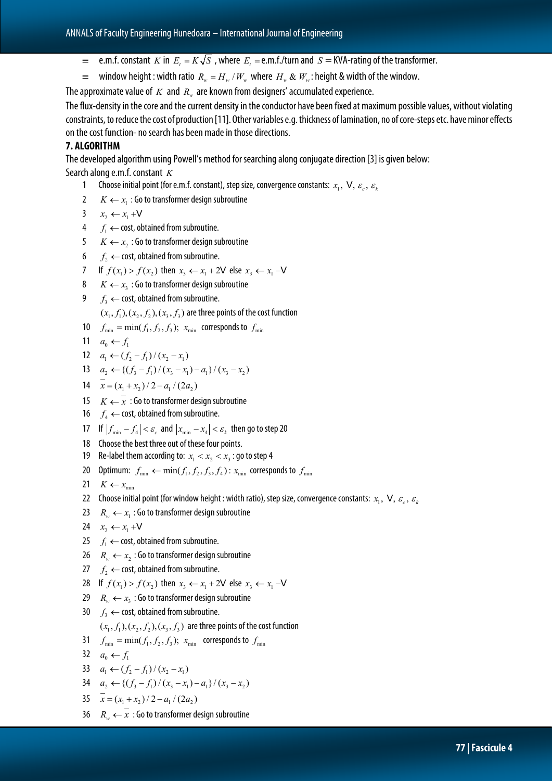- $=$  e.m.f. constant *K* in *E<sub>t</sub>* =  $K\sqrt{S}$ , where *E<sub>t</sub>* = e.m.f./turn and *S* = KVA-rating of the transformer.
- $\equiv$  window height : width ratio  $R_w = H_w / W_w$  where  $H_w \& W_w$ : height & width of the window.

The approximate value of *K* and *R<sub>w</sub>* are known from designers' accumulated experience.

The flux-density in the core and the current density in the conductor have been fixed at maximum possible values, without violating constraints, to reduce the cost of production [11]. Other variables e.g. thickness of lamination, no of core-steps etc. have minor effects on the cost function- no search has been made in those directions.

#### **7. ALGORITHM**

The developed algorithm using Powell's method for searching along conjugate direction [3] is given below: Search along e.m.f. constant *K*

- 1 Choose initial point (for e.m.f. constant), step size, convergence constants:  $x_1$ ,  $\vee$ ,  $\varepsilon_c$ ,  $\varepsilon_k$
- 2  $K \leftarrow x_i$ : Go to transformer design subroutine
- 3  $x_2 \leftarrow x_1 + V$
- 4  $f_1$  ← cost, obtained from subroutine.
- 5  $K \leftarrow x_2$ : Go to transformer design subroutine
- 6  $f<sub>2</sub>$  ← cost, obtained from subroutine.
- 7 If  $f(x_1) > f(x_2)$  then  $x_3 \leftarrow x_1 + 2\mathsf{V}$  else  $x_3 \leftarrow x_1 -\mathsf{V}$
- 8  $K \leftarrow x_3$ : Go to transformer design subroutine
- 9  $f_3$  ← cost, obtained from subroutine.

 $(x_1, f_1), (x_2, f_2), (x_3, f_3)$  are three points of the cost function

- 10  $f_{\min} = \min(f_1, f_2, f_3); x_{\min}$  corresponds to  $f_{\min}$
- 11  $a_0 \leftarrow f_1$
- 12  $a_1 \leftarrow (f_2 f_1)/(x_2 x_1)$

13 
$$
a_2 \leftarrow \left\{ (f_3 - f_1) / (x_3 - x_1) - a_1 \right\} / (x_3 - x_2)
$$

- 14  $\overline{x} = (x_1 + x_2) / 2 a_1 / (2 a_2)$
- 15 *K*  $\leftarrow \overline{x}$  : Go to transformer design subroutine
- 16  $f_4$  ← cost, obtained from subroutine.
- 17 If  $|f_{\min} f_4| < \varepsilon_c$  and  $|x_{\min} x_4| < \varepsilon_k$  then go to step 20
- 18 Choose the best three out of these four points.
- 19 Re-label them according to:  $x_1 < x_2 < x_3$ : go to step 4
- 20 Optimum:  $f_{\min} \leftarrow \min(f_1, f_2, f_3, f_4)$ :  $x_{\min}$  corresponds to  $f_{\min}$
- 21  $K \leftarrow x$ <sub>min</sub>
- 22 Choose initial point (for window height : width ratio), step size, convergence constants:  $x_1$ ,  $V$ ,  $\varepsilon_c$ ,  $\varepsilon_k$
- 23  $R_{\omega} \leftarrow x_1$ : Go to transformer design subroutine
- 24  $x_2 \leftarrow x_1 + V$
- 25  $f_1$  ← cost, obtained from subroutine.
- 26  $R_w \leftarrow x_2$ : Go to transformer design subroutine
- 27  $f_2$  ← cost, obtained from subroutine.
- 28 If  $f(x_1) > f(x_2)$  then  $x_3 \leftarrow x_1 + 2V$  else  $x_3 \leftarrow x_1 -V$
- 29  $R_w \leftarrow x_3$ : Go to transformer design subroutine
- 30  $f_3 \leftarrow$  cost, obtained from subroutine.

 $(x_1, f_1), (x_2, f_2), (x_3, f_3)$  are three points of the cost function

- 31  $f_{\min} = \min(f_1, f_2, f_3); x_{\min}$  corresponds to  $f_{\min}$
- 32  $a_0 \leftarrow f_1$
- 33  $a_1 \leftarrow (f_2 f_1)/(x_2 x_1)$
- 34  $a_2 \leftarrow \left\{ \frac{f_3 f_1}{x_3 x_1} a_1 \right\} / (x_3 x_2)$
- 35  $\overline{x} = (x_1 + x_2) / 2 a_1 / (2 a_2)$
- 36  $R_{\nu} \leftarrow \overline{x}$  : Go to transformer design subroutine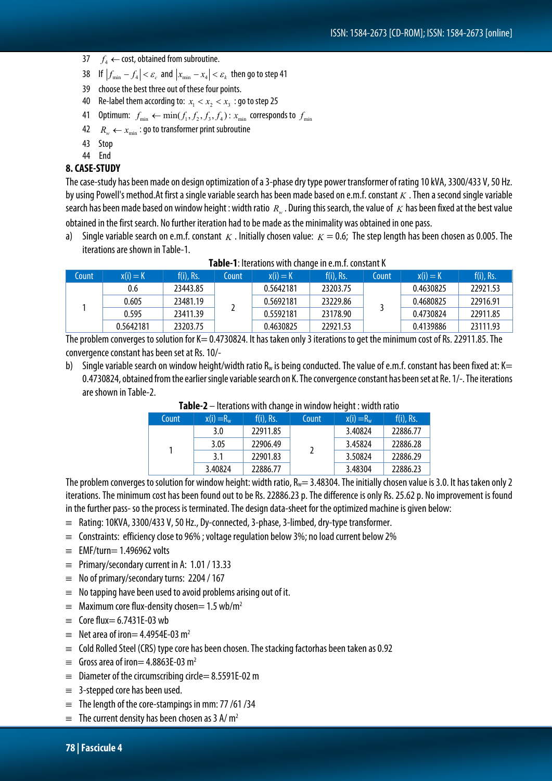- 37  $f_4 \leftarrow \text{cost}, \text{obtained from subroutine}.$
- 38 If  $|f_{\min} f_4| < \varepsilon_c$  and  $|x_{\min} x_4| < \varepsilon_k$  then go to step 41
- 39 choose the best three out of these four points.
- 40 Re-label them according to:  $x_1 < x_2 < x_3$ : go to step 25
- 41 Optimum:  $f_{\min} \leftarrow \min(f_1, f_2, f_3, f_4)$ :  $x_{\min}$  corresponds to  $f_{\min}$
- 42  $R_w \leftarrow x_{\min}$ : go to transformer print subroutine
- 43 Stop
- 44 End

#### **8. CASE-STUDY**

The case-study has been made on design optimization of a 3-phase dry type power transformer of rating 10 kVA, 3300/433 V, 50 Hz. by using Powell's method.At first a single variable search has been made based on e.m.f. constant *K* . Then a second single variable search has been made based on window height : width ratio R<sub>w</sub>. During this search, the value of *K* has been fixed at the best value obtained in the first search. No further iteration had to be made as the minimality was obtained in one pass.

Single variable search on e.m.f. constant *K* . Initially chosen value:  $K = 0.6$ ; The step length has been chosen as 0.005. The iterations are shown in Table-1.

| Count | $x(i) = K$ | $f(i)$ , Rs. | Count | $x(i) = K$ | $f(i)$ , Rs. | Count | $x(i) = K$ | $f(i)$ , Rs. |
|-------|------------|--------------|-------|------------|--------------|-------|------------|--------------|
|       | 0.6        | 23443.85     |       | 0.5642181  | 23203.75     |       | 0.4630825  | 22921.53     |
|       | 0.605      | 23481.19     |       | 0.5692181  | 23229.86     |       | 0.4680825  | 22916.91     |
|       | 0.595      | 23411.39     |       | 0.5592181  | 23178.90     |       | 0.4730824  | 22911.85     |
|       | 0.5642181  | 23203.75     |       | 0.4630825  | 22921.53     |       | 0.4139886  | 23111.93     |

#### **Table-1**: Iterations with change in e.m.f. constant K

The problem converges to solution for K= 0.4730824. It has taken only 3 iterations to get the minimum cost of Rs. 22911.85. The convergence constant has been set at Rs. 10/-

b) Single variable search on window height/width ratio  $R_w$  is being conducted. The value of e.m.f. constant has been fixed at: K= 0.4730824, obtained from the earlier single variable search on K. The convergence constant has been set at Re. 1/-. The iterations are shown in Table-2.

| Count | $x(i) = R_w$ | $f(i)$ , Rs. | Count | $x(i) = R_w$ | $f(i)$ , Rs. |
|-------|--------------|--------------|-------|--------------|--------------|
|       | 3.0          | 22911.85     |       | 3.40824      | 22886.77     |
|       | 3.05         | 22906.49     |       | 3.45824      | 22886.28     |
|       | 3.1          | 22901.83     |       | 3.50824      | 22886.29     |
|       | 3.40824      | 22886.77     |       | 3.48304      | 22886.23     |

#### **Table-2** – Iterations with change in window height : width ratio

The problem converges to solution for window height: width ratio,  $R_w = 3.48304$ . The initially chosen value is 3.0. It has taken only 2 iterations. The minimum cost has been found out to be Rs. 22886.23 p. The difference is only Rs. 25.62 p. No improvement is found in the further pass- so the process is terminated. The design data-sheet for the optimized machine is given below:

- $\equiv$  Rating: 10KVA, 3300/433 V, 50 Hz., Dy-connected, 3-phase, 3-limbed, dry-type transformer.
- $\equiv$  Constraints: efficiency close to 96%; voltage regulation below 3%; no load current below 2%
- $\equiv$  EMF/turn= 1.496962 volts
- $\equiv$  Primary/secondary current in A: 1.01 / 13.33
- $\equiv$  No of primary/secondary turns: 2204 / 167
- $\equiv$  No tapping have been used to avoid problems arising out of it.
- $\equiv$  Maximum core flux-density chosen = 1.5 wb/m<sup>2</sup>
- $\equiv$  Core flux= 6.7431E-03 wb
- $\equiv$  Net area of iron  $= 4.4954E-03$  m<sup>2</sup>
- $\equiv$  Cold Rolled Steel (CRS) type core has been chosen. The stacking factorhas been taken as 0.92
- $\equiv$  Gross area of iron  $= 4.8863E-03$  m<sup>2</sup>
- $\equiv$  Diameter of the circumscribing circle= 8.5591E-02 m
- $\equiv$  3-stepped core has been used.
- $\equiv$  The length of the core-stampings in mm: 77 /61 /34
- $\equiv$  The current density has been chosen as 3 A/ m<sup>2</sup>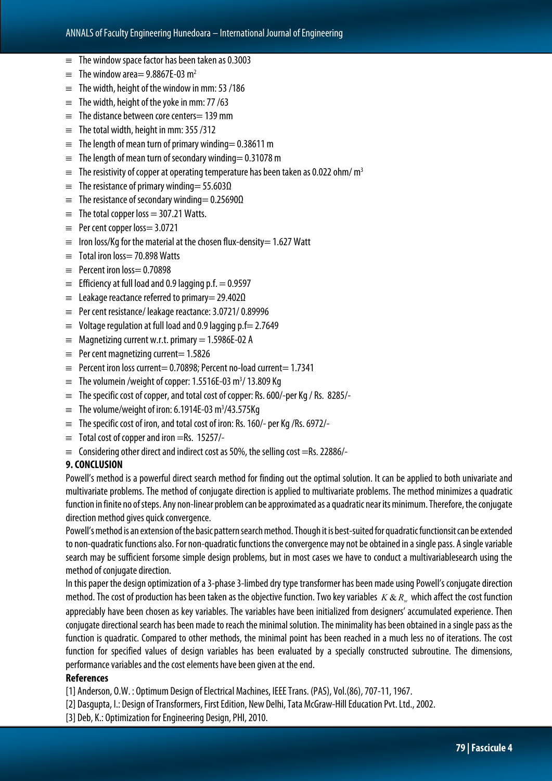- $\equiv$  The window space factor has been taken as 0.3003
- $\equiv$  The window area = 9.8867E-03 m<sup>2</sup>
- $\equiv$  The width, height of the window in mm: 53 /186
- $\equiv$  The width, height of the yoke in mm: 77 /63
- $\equiv$  The distance between core centers = 139 mm
- $\equiv$  The total width, height in mm: 355/312
- $\equiv$  The length of mean turn of primary winding= 0.38611 m
- $\equiv$  The length of mean turn of secondary winding = 0.31078 m
- $\equiv$  The resistivity of copper at operating temperature has been taken as 0.022 ohm/m<sup>3</sup>
- $\equiv$  The resistance of primary winding= 55.603Ω
- $\equiv$  The resistance of secondary winding= 0.25690Ω
- $\equiv$  The total copper loss = 307.21 Watts.
- ≡ Per cent copper loss= 3.0721
- $\equiv$  Iron loss/Kg for the material at the chosen flux-density = 1.627 Watt
- ≡ Total iron loss= 70.898 Watts
- $\equiv$  Percent iron loss= 0.70898
- $\equiv$  Efficiency at full load and 0.9 lagging p.f. = 0.9597
- $\equiv$  Leakage reactance referred to primary = 29.402 $\Omega$
- $\equiv$  Per cent resistance/ leakage reactance: 3.0721/0.89996
- $\equiv$  Voltage regulation at full load and 0.9 lagging p.f = 2.7649
- $\equiv$  Magnetizing current w.r.t. primary = 1.5986E-02 A
- $\equiv$  Per cent magnetizing current= 1.5826
- ≡ Percent iron loss current= 0.70898; Percent no-load current= 1.7341
- $\equiv$  The volumein /weight of copper: 1.5516E-03 m<sup>3</sup>/13.809 Kg
- ≡ The specific cost of copper, and total cost of copper: Rs. 600/-per Kg / Rs. 8285/-
- $\equiv$  The volume/weight of iron: 6.1914E-03 m<sup>3</sup>/43.575Kg
- $\equiv$  The specific cost of iron, and total cost of iron: Rs. 160/- per Kg /Rs. 6972/-
- $\equiv$  Total cost of copper and iron =Rs. 15257/-
- $\equiv$  Considering other direct and indirect cost as 50%, the selling cost =Rs. 22886/-

#### **9. CONCLUSION**

Powell's method is a powerful direct search method for finding out the optimal solution. It can be applied to both univariate and multivariate problems. The method of conjugate direction is applied to multivariate problems. The method minimizes a quadratic function in finite no of steps. Any non-linear problem can be approximated as a quadratic near its minimum. Therefore, the conjugate direction method gives quick convergence.

Powell's method is an extension of the basic pattern search method. Though it is best-suited for quadratic functionsit can be extended to non-quadratic functions also. For non-quadratic functions the convergence may not be obtained in a single pass. A single variable search may be sufficient forsome simple design problems, but in most cases we have to conduct a multivariablesearch using the method of conjugate direction.

In this paper the design optimization of a 3-phase 3-limbed dry type transformer has been made using Powell's conjugate direction method. The cost of production has been taken as the objective function. Two key variables  $K & R$  which affect the cost function appreciably have been chosen as key variables. The variables have been initialized from designers' accumulated experience. Then conjugate directional search has been made to reach the minimal solution. The minimality has been obtained in a single pass as the function is quadratic. Compared to other methods, the minimal point has been reached in a much less no of iterations. The cost function for specified values of design variables has been evaluated by a specially constructed subroutine. The dimensions, performance variables and the cost elements have been given at the end.

#### **References**

[1] Anderson, O.W. : Optimum Design of Electrical Machines, IEEE Trans. (PAS), Vol.(86), 707-11, 1967.

- [2] Dasgupta, I.: Design of Transformers, First Edition, New Delhi, Tata McGraw-Hill Education Pvt. Ltd., 2002.
- [3] Deb, K.: Optimization for Engineering Design, PHI, 2010.